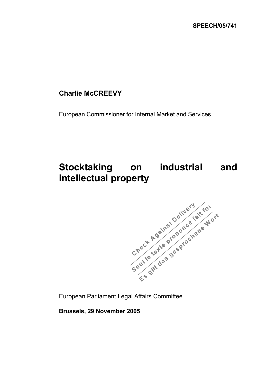## **Charlie McCREEVY**

European Commissioner for Internal Market and Services

## **Stocktaking on industrial and**



European Parliament Legal Affairs Committee

**Brussels, 29 November 2005**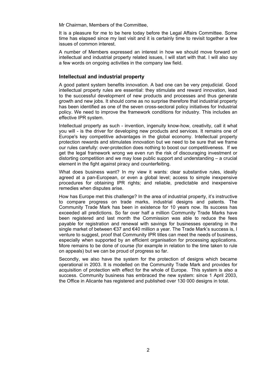Mr Chairman, Members of the Committee,

It is a pleasure for me to be here today before the Legal Affairs Committee. Some time has elapsed since my last visit and it is certainly time to revisit together a few issues of common interest.

A number of Members expressed an interest in how we should move forward on intellectual and industrial property related issues, I will start with that. I will also say a few words on ongoing activities in the company law field.

## **Intellectual and industrial property**

A good patent system benefits innovation. A bad one can be very prejudicial. Good intellectual property rules are essential: they stimulate and reward innovation, lead to the successful development of new products and processes and thus generate growth and new jobs. It should come as no surprise therefore that industrial property has been identified as one of the seven cross-sectoral policy initiatives for Industrial policy. We need to improve the framework conditions for industry. This includes an effective IPR system.

Intellectual property as such - invention, ingenuity know-how, creativity, call it what you will - is the driver for developing new products and services. It remains one of Europe's key competitive advantages in the global economy. Intellectual property protection rewards and stimulates innovation but we need to be sure that we frame our rules carefully: over-protection does nothing to boost our competitiveness. If we get the legal framework wrong we even run the risk of discouraging investment or distorting competition and we may lose public support and understanding – a crucial element in the fight against piracy and counterfeiting.

What does business want? In my view it wants: clear substantive rules, ideally agreed at a pan-European, or even a global level; access to simple inexpensive procedures for obtaining IPR rights; and reliable, predictable and inexpensive remedies when disputes arise.

How has Europe met this challenge? In the area of industrial property, it's instructive to compare progress on trade marks, industrial designs and patents. The Community Trade Mark has been in existence for 10 years now. Its success has exceeded all predictions. So far over half a million Community Trade Marks have been registered and last month the Commission was able to reduce the fees payable for registration and renewal with savings for businesses operating in the single market of between €37 and €40 million a year. The Trade Mark's success is, I venture to suggest, proof that Community IPR titles can meet the needs of business, especially when supported by an efficient organisation for processing applications. More remains to be done of course (for example in relation to the time taken to rule on appeals) but we can be proud of progress so far.

Secondly, we also have the system for the protection of designs which became operational in 2003. It is modelled on the Community Trade Mark and provides for acquisition of protection with effect for the whole of Europe. This system is also a success. Community business has embraced the new system: since 1 April 2003, the Office in Alicante has registered and published over 130 000 designs in total.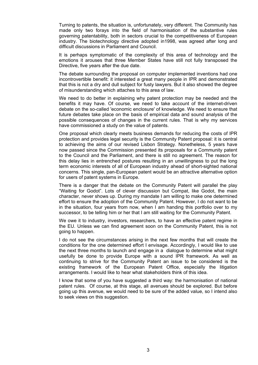Turning to patents, the situation is, unfortunately, very different. The Community has made only two forays into the field of harmonisation of the substantive rules governing patentability, both in sectors crucial to the competitiveness of European industry. The biotechnology directive adopted in1998, was agreed after long and difficult discussions in Parliament and Council.

It is perhaps symptomatic of the complexity of this area of technology and the emotions it arouses that three Member States have still not fully transposed the Directive, five years after the due date.

The debate surrounding the proposal on computer implemented inventions had one incontrovertible benefit: it interested a great many people in IPR and demonstrated that this is not a dry and dull subject for fusty lawyers. But it also showed the degree of misunderstanding which attaches to this area of law.

We need to do better in explaining why patent protection may be needed and the benefits it may have. Of course, we need to take account of the internet-driven debate on the so-called 'economic enclosure' of knowledge. We need to ensure that future debates take place on the basis of empirical data and sound analysis of the possible consequences of changes in the current rules. That is why my services have commissioned a study on the value of patents.

One proposal which clearly meets business demands for reducing the costs of IPR protection and provides legal security is the Community Patent proposal: it is central to achieving the aims of our revised Lisbon Strategy. Nonetheless, 5 years have now passed since the Commission presented its proposals for a Community patent to the Council and the Parliament, and there is still no agreement. The reason for this delay lies in entrenched postures resulting in an unwillingness to put the long term economic interests of all of European industry ahead of short-sighted national concerns. This single, pan-European patent would be an attractive alternative option for users of patent systems in Europe.

There is a danger that the debate on the Community Patent will parallel the play "Waiting for Godot". Lots of clever discussion but Compat, like Godot, the main character, never shows up. During my mandate I am willing to make one determined effort to ensure the adoption of the Community Patent. However, I do not want to be in the situation, four years from now, when I am handing this portfolio over to my successor, to be telling him or her that I am still waiting for the Community Patent.

We owe it to industry, investors, researchers, to have an effective patent regime in the EU. Unless we can find agreement soon on the Community Patent, this is not going to happen.

I do not see the circumstances arising in the next few months that will create the conditions for the one determined effort I envisage. Accordingly, I would like to use the next three months to launch and engage in a dialogue to determine what might usefully be done to provide Europe with a sound IPR framework. As well as continuing to strive for the Community Patent an issue to be considered is the existing framework of the European Patent Office, especially the litigation arrangements. I would like to hear what stakeholders think of this idea.

I know that some of you have suggested a third way: the harmonisation of national patent rules. Of course, at this stage, all avenues should be explored. But before going up this avenue, we would need to be sure of the added value, so I intend also to seek views on this suggestion.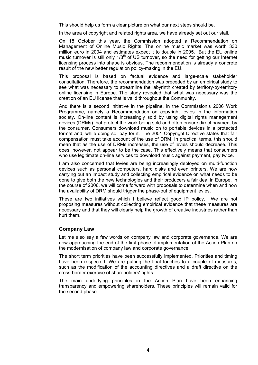This should help us form a clear picture on what our next steps should be.

In the area of copyright and related rights area, we have already set out our stall.

On 18 October this year, the Commission adopted a Recommendation on Management of Online Music Rights. The online music market was worth 330 million euro in 2004 and estimates expect it to double in 2005. But the EU online music turnover is still only  $1/8<sup>th</sup>$  of US turnover, so the need for getting our Internet licensing process into shape is obvious. The recommendation is already a concrete result of the new better regulation policy-making in the EU.

This proposal is based on factual evidence and large-scale stakeholder consultation. Therefore, the recommendation was preceded by an empirical study to see what was necessary to streamline the labyrinth created by territory-by-territory online licensing in Europe. The study revealed that what was necessary was the creation of an EU license that is valid throughout the Community.

And there is a second initiative in the pipeline, in the Commission's 2006 Work Programme, namely a Recommendation on copyright levies in the information society. On-line content is increasingly sold by using digital rights management devices (DRMs) that protect the work being sold and often ensure direct payment by the consumer. Consumers download music on to portable devices in a protected format and, while doing so, pay for it. The 2001 Copyright Directive states that fair compensation must take account of the use of DRM. In practical terms, this should mean that as the use of DRMs increases, the use of levies should decrease. This does, however, not appear to be the case. This effectively means that consumers who use legitimate on-line services to download music against payment, pay twice.

I am also concerned that levies are being increasingly deployed on multi-function devices such as personal computers, hard disks and even printers. We are now carrying out an impact study and collecting empirical evidence on what needs to be done to give both the new technologies and their producers a fair deal in Europe. In the course of 2006, we will come forward with proposals to determine when and how the availability of DRM should trigger the phase-out of equipment levies.

These are two initiatives which I believe reflect good IP policy. We are not proposing measures without collecting empirical evidence that these measures are necessary and that they will clearly help the growth of creative industries rather than hurt them.

## **Company Law**

Let me also say a few words on company law and corporate governance. We are now approaching the end of the first phase of implementation of the Action Plan on the modernisation of company law and corporate governance.

The short term priorities have been successfully implemented. Priorities and timing have been respected. We are putting the final touches to a couple of measures, such as the modification of the accounting directives and a draft directive on the cross-border exercise of shareholders' rights.

The main underlying principles in the Action Plan have been enhancing transparency and empowering shareholders. These principles will remain valid for the second phase.